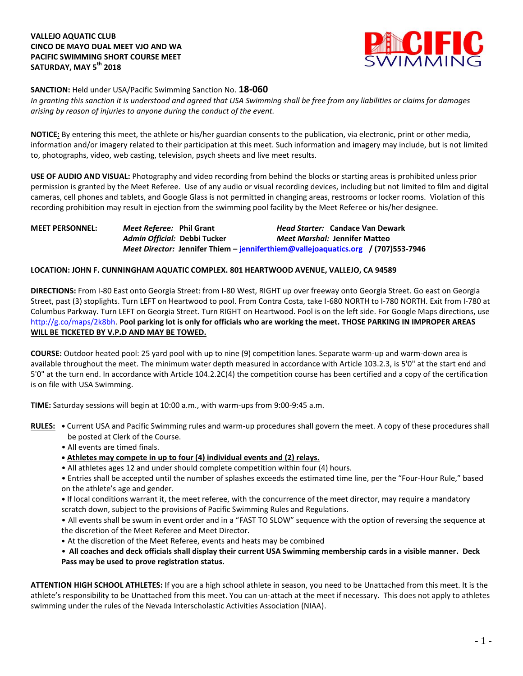## **VALLEJO AQUATIC CLUB CINCO DE MAYO DUAL MEET VJO AND WA PACIFIC SWIMMING SHORT COURSE MEET SATURDAY, MAY 5th 2018**



**SANCTION:** Held under USA/Pacific Swimming Sanction No. **18-060**

*In granting this sanction it is understood and agreed that USA Swimming shall be free from any liabilities or claims for damages arising by reason of injuries to anyone during the conduct of the event.*

**NOTICE:** By entering this meet, the athlete or his/her guardian consents to the publication, via electronic, print or other media, information and/or imagery related to their participation at this meet. Such information and imagery may include, but is not limited to, photographs, video, web casting, television, psych sheets and live meet results.

**USE OF AUDIO AND VISUAL:** Photography and video recording from behind the blocks or starting areas is prohibited unless prior permission is granted by the Meet Referee. Use of any audio or visual recording devices, including but not limited to film and digital cameras, cell phones and tablets, and Google Glass is not permitted in changing areas, restrooms or locker rooms. Violation of this recording prohibition may result in ejection from the swimming pool facility by the Meet Referee or his/her designee.

# **MEET PERSONNEL:** *Meet Referee:* **Phil Grant** *Head Starter:* **Candace Van Dewark** *Admin Official:* **Debbi Tucker** *Meet Marshal:* **Jennifer Matteo** *Meet Director:* **Jennifer Thiem – [jenniferthiem@vallejoaquatics.org](mailto:jenniferthiem@vallejoaquatics.org) / (707)553-7946**

#### **LOCATION: JOHN F. CUNNINGHAM AQUATIC COMPLEX. 801 HEARTWOOD AVENUE, VALLEJO, CA 94589**

**DIRECTIONS:** From I-80 East onto Georgia Street: from I-80 West, RIGHT up over freeway onto Georgia Street. Go east on Georgia Street, past (3) stoplights. Turn LEFT on Heartwood to pool. From Contra Costa, take I-680 NORTH to I-780 NORTH. Exit from I-780 at Columbus Parkway. Turn LEFT on Georgia Street. Turn RIGHT on Heartwood. Pool is on the left side. For Google Maps directions, use [http://g.co/maps/2k8bh.](http://g.co/maps/2k8bh) **Pool parking lot is only for officials who are working the meet. THOSE PARKING IN IMPROPER AREAS WILL BE TICKETED BY V.P.D AND MAY BE TOWED.** 

**COURSE:** Outdoor heated pool: 25 yard pool with up to nine (9) competition lanes. Separate warm-up and warm-down area is available throughout the meet. The minimum water depth measured in accordance with Article 103.2.3, is 5'0" at the start end and 5'0" at the turn end. In accordance with Article 104.2.2C(4) the competition course has been certified and a copy of the certification is on file with USA Swimming.

**TIME:** Saturday sessions will begin at 10:00 a.m., with warm-ups from 9:00-9:45 a.m.

- **RULES:** Current USA and Pacific Swimming rules and warm-up procedures shall govern the meet. A copy of these procedures shall be posted at Clerk of the Course.
	- All events are timed finals.
	- **• Athletes may compete in up to four (4) individual events and (2) relays.**
	- All athletes ages 12 and under should complete competition within four (4) hours.

• Entries shall be accepted until the number of splashes exceeds the estimated time line, per the "Four-Hour Rule," based on the athlete's age and gender.

**•** If local conditions warrant it, the meet referee, with the concurrence of the meet director, may require a mandatory scratch down, subject to the provisions of Pacific Swimming Rules and Regulations.

• All events shall be swum in event order and in a "FAST TO SLOW" sequence with the option of reversing the sequence at the discretion of the Meet Referee and Meet Director.

• At the discretion of the Meet Referee, events and heats may be combined

• **All coaches and deck officials shall display their current USA Swimming membership cards in a visible manner. Deck Pass may be used to prove registration status.**

**ATTENTION HIGH SCHOOL ATHLETES:** If you are a high school athlete in season, you need to be Unattached from this meet. It is the athlete's responsibility to be Unattached from this meet. You can un-attach at the meet if necessary. This does not apply to athletes swimming under the rules of the Nevada Interscholastic Activities Association (NIAA).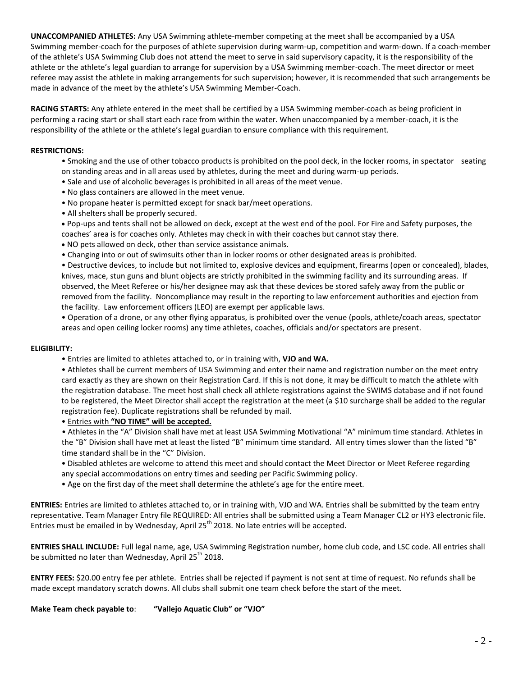**UNACCOMPANIED ATHLETES:** Any USA Swimming athlete-member competing at the meet shall be accompanied by a USA Swimming member-coach for the purposes of athlete supervision during warm-up, competition and warm-down. If a coach-member of the athlete's USA Swimming Club does not attend the meet to serve in said supervisory capacity, it is the responsibility of the athlete or the athlete's legal guardian to arrange for supervision by a USA Swimming member-coach. The meet director or meet referee may assist the athlete in making arrangements for such supervision; however, it is recommended that such arrangements be made in advance of the meet by the athlete's USA Swimming Member-Coach.

**RACING STARTS:** Any athlete entered in the meet shall be certified by a USA Swimming member-coach as being proficient in performing a racing start or shall start each race from within the water. When unaccompanied by a member-coach, it is the responsibility of the athlete or the athlete's legal guardian to ensure compliance with this requirement.

#### **RESTRICTIONS:**

- Smoking and the use of other tobacco products is prohibited on the pool deck, in the locker rooms, in spectator seating on standing areas and in all areas used by athletes, during the meet and during warm-up periods.
- Sale and use of alcoholic beverages is prohibited in all areas of the meet venue.
- No glass containers are allowed in the meet venue.
- No propane heater is permitted except for snack bar/meet operations.
- All shelters shall be properly secured.

 Pop-ups and tents shall not be allowed on deck, except at the west end of the pool. For Fire and Safety purposes, the coaches' area is for coaches only. Athletes may check in with their coaches but cannot stay there.

- NO pets allowed on deck, other than service assistance animals.
- Changing into or out of swimsuits other than in locker rooms or other designated areas is prohibited.

• Destructive devices, to include but not limited to, explosive devices and equipment, firearms (open or concealed), blades, knives, mace, stun guns and blunt objects are strictly prohibited in the swimming facility and its surrounding areas. If observed, the Meet Referee or his/her designee may ask that these devices be stored safely away from the public or removed from the facility. Noncompliance may result in the reporting to law enforcement authorities and ejection from the facility. Law enforcement officers (LEO) are exempt per applicable laws.

• Operation of a drone, or any other flying apparatus, is prohibited over the venue (pools, athlete/coach areas, spectator areas and open ceiling locker rooms) any time athletes, coaches, officials and/or spectators are present.

#### **ELIGIBILITY:**

• Entries are limited to athletes attached to, or in training with, **VJO and WA.**

• Athletes shall be current members of USA Swimming and enter their name and registration number on the meet entry card exactly as they are shown on their Registration Card. If this is not done, it may be difficult to match the athlete with the registration database. The meet host shall check all athlete registrations against the SWIMS database and if not found to be registered, the Meet Director shall accept the registration at the meet (a \$10 surcharge shall be added to the regular registration fee). Duplicate registrations shall be refunded by mail.

### • Entries with **"NO TIME" will be accepted.**

 • Athletes in the "A" Division shall have met at least USA Swimming Motivational "A" minimum time standard. Athletes in the "B" Division shall have met at least the listed "B" minimum time standard. All entry times slower than the listed "B" time standard shall be in the "C" Division.

- Disabled athletes are welcome to attend this meet and should contact the Meet Director or Meet Referee regarding any special accommodations on entry times and seeding per Pacific Swimming policy.
- Age on the first day of the meet shall determine the athlete's age for the entire meet.

**ENTRIES:** Entries are limited to athletes attached to, or in training with, VJO and WA. Entries shall be submitted by the team entry representative. Team Manager Entry file REQUIRED: All entries shall be submitted using a Team Manager CL2 or HY3 electronic file. Entries must be emailed in by Wednesday, April 25<sup>th</sup> 2018. No late entries will be accepted.

**ENTRIES SHALL INCLUDE:** Full legal name, age, USA Swimming Registration number, home club code, and LSC code. All entries shall be submitted no later than Wednesday, April  $25<sup>th</sup>$  2018.

**ENTRY FEES:** \$20.00 entry fee per athlete.Entries shall be rejected if payment is not sent at time of request. No refunds shall be made except mandatory scratch downs. All clubs shall submit one team check before the start of the meet.

**Make Team check payable to**: **"Vallejo Aquatic Club" or "VJO"**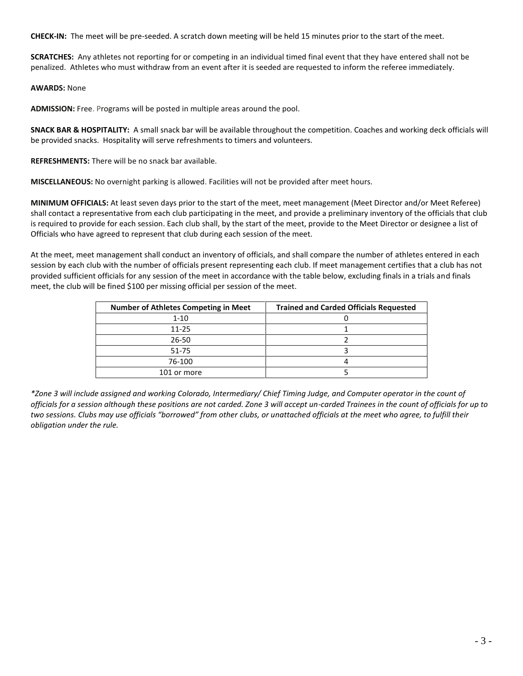**CHECK-IN:** The meet will be pre-seeded. A scratch down meeting will be held 15 minutes prior to the start of the meet.

**SCRATCHES:** Any athletes not reporting for or competing in an individual timed final event that they have entered shall not be penalized. Athletes who must withdraw from an event after it is seeded are requested to inform the referee immediately.

**AWARDS:** None

**ADMISSION:** Free. Programs will be posted in multiple areas around the pool.

**SNACK BAR & HOSPITALITY:** A small snack bar will be available throughout the competition. Coaches and working deck officials will be provided snacks. Hospitality will serve refreshments to timers and volunteers.

**REFRESHMENTS:** There will be no snack bar available.

**MISCELLANEOUS:** No overnight parking is allowed. Facilities will not be provided after meet hours.

**MINIMUM OFFICIALS:** At least seven days prior to the start of the meet, meet management (Meet Director and/or Meet Referee) shall contact a representative from each club participating in the meet, and provide a preliminary inventory of the officials that club is required to provide for each session. Each club shall, by the start of the meet, provide to the Meet Director or designee a list of Officials who have agreed to represent that club during each session of the meet.

At the meet, meet management shall conduct an inventory of officials, and shall compare the number of athletes entered in each session by each club with the number of officials present representing each club. If meet management certifies that a club has not provided sufficient officials for any session of the meet in accordance with the table below, excluding finals in a trials and finals meet, the club will be fined \$100 per missing official per session of the meet.

| <b>Number of Athletes Competing in Meet</b> | <b>Trained and Carded Officials Requested</b> |
|---------------------------------------------|-----------------------------------------------|
| $1 - 10$                                    |                                               |
| $11 - 25$                                   |                                               |
| 26-50                                       |                                               |
| 51-75                                       |                                               |
| 76-100                                      |                                               |
| 101 or more                                 |                                               |

*\*Zone 3 will include assigned and working Colorado, Intermediary/ Chief Timing Judge, and Computer operator in the count of officials for a session although these positions are not carded. Zone 3 will accept un-carded Trainees in the count of officials for up to two sessions. Clubs may use officials "borrowed" from other clubs, or unattached officials at the meet who agree, to fulfill their obligation under the rule.*